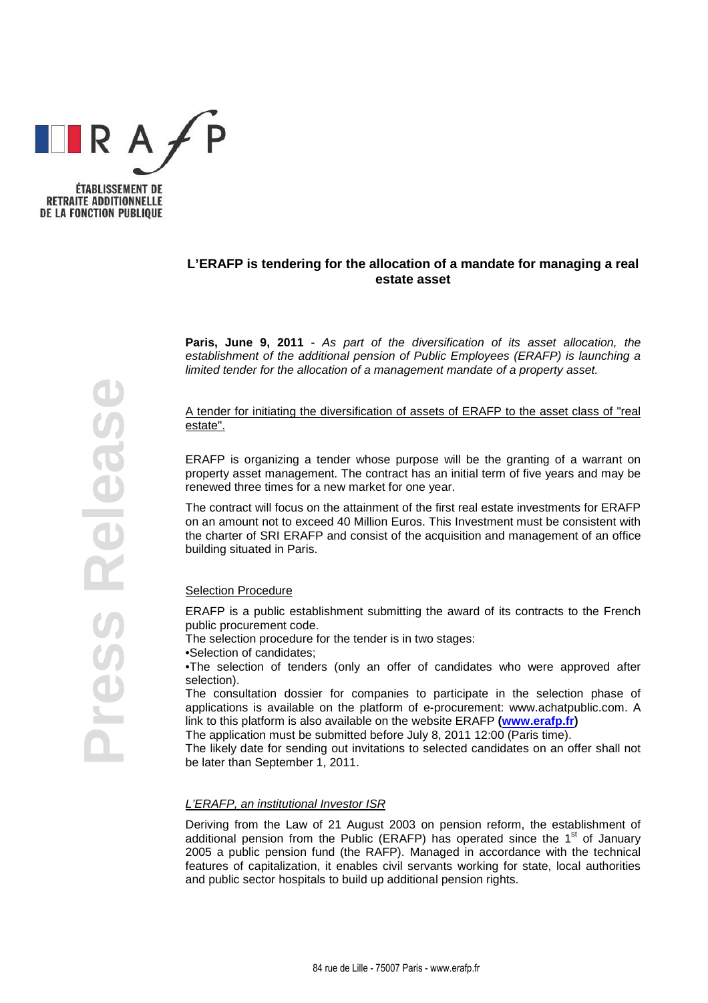

## **L'ERAFP is tendering for the allocation of a mandate for managing a real estate asset**

**Paris, June 9, 2011** - As part of the diversification of its asset allocation, the establishment of the additional pension of Public Employees (ERAFP) is launching a limited tender for the allocation of a management mandate of a property asset.

A tender for initiating the diversification of assets of ERAFP to the asset class of "real estate".

ERAFP is organizing a tender whose purpose will be the granting of a warrant on property asset management. The contract has an initial term of five years and may be renewed three times for a new market for one year.

The contract will focus on the attainment of the first real estate investments for ERAFP on an amount not to exceed 40 Million Euros. This Investment must be consistent with the charter of SRI ERAFP and consist of the acquisition and management of an office building situated in Paris.

## Selection Procedure

ERAFP is a public establishment submitting the award of its contracts to the French public procurement code.

The selection procedure for the tender is in two stages:

•Selection of candidates;

•The selection of tenders (only an offer of candidates who were approved after selection).

The consultation dossier for companies to participate in the selection phase of applications is available on the platform of e-procurement: www.achatpublic.com. A link to this platform is also available on the website ERAFP **(www.erafp.fr)**

The application must be submitted before July 8, 2011 12:00 (Paris time).

The likely date for sending out invitations to selected candidates on an offer shall not be later than September 1, 2011.

## L'ERAFP, an institutional Investor ISR

Deriving from the Law of 21 August 2003 on pension reform, the establishment of additional pension from the Public (ERAFP) has operated since the  $1<sup>st</sup>$  of January 2005 a public pension fund (the RAFP). Managed in accordance with the technical features of capitalization, it enables civil servants working for state, local authorities and public sector hospitals to build up additional pension rights.